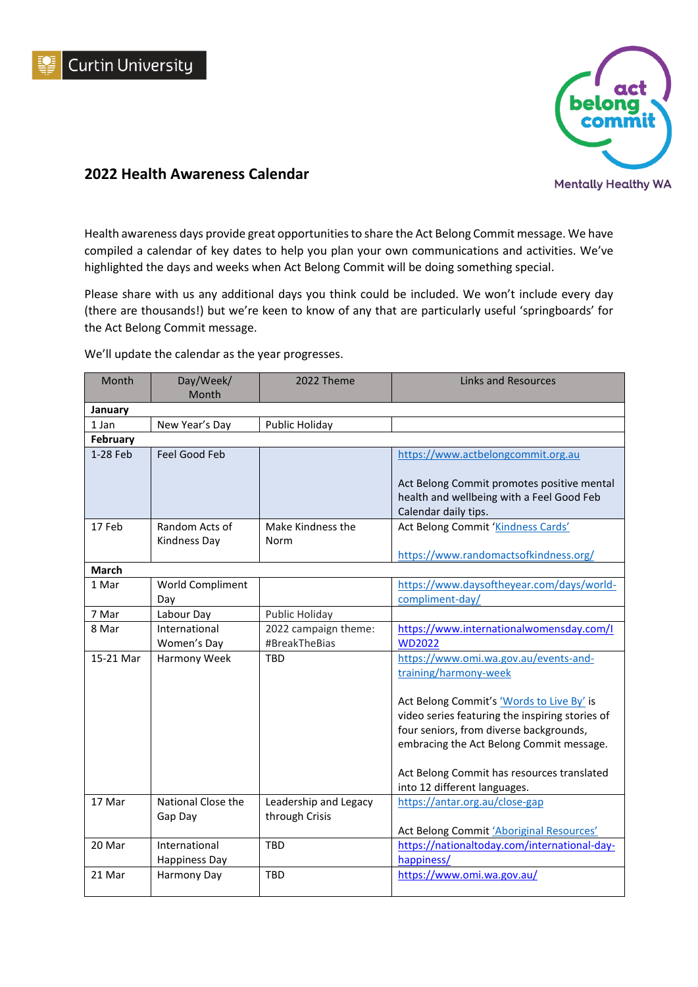



## **2022 Health Awareness Calendar**

Health awareness days provide great opportunities to share the Act Belong Commit message. We have compiled a calendar of key dates to help you plan your own communications and activities. We've highlighted the days and weeks when Act Belong Commit will be doing something special.

Please share with us any additional days you think could be included. We won't include every day (there are thousands!) but we're keen to know of any that are particularly useful 'springboards' for the Act Belong Commit message.

We'll update the calendar as the year progresses.

| Month        | Day/Week/            | 2022 Theme            | <b>Links and Resources</b>                      |
|--------------|----------------------|-----------------------|-------------------------------------------------|
|              | Month                |                       |                                                 |
| January      |                      |                       |                                                 |
| 1 Jan        | New Year's Day       | Public Holiday        |                                                 |
| February     |                      |                       |                                                 |
| 1-28 Feb     | Feel Good Feb        |                       | https://www.actbelongcommit.org.au              |
|              |                      |                       | Act Belong Commit promotes positive mental      |
|              |                      |                       | health and wellbeing with a Feel Good Feb       |
|              |                      |                       | Calendar daily tips.                            |
| 17 Feb       | Random Acts of       | Make Kindness the     | Act Belong Commit 'Kindness Cards'              |
|              | Kindness Day         | Norm                  |                                                 |
|              |                      |                       | https://www.randomactsofkindness.org/           |
| <b>March</b> |                      |                       |                                                 |
| 1 Mar        | World Compliment     |                       | https://www.daysoftheyear.com/days/world-       |
|              | Day                  |                       | compliment-day/                                 |
| 7 Mar        | Labour Day           | Public Holiday        |                                                 |
| 8 Mar        | International        | 2022 campaign theme:  | https://www.internationalwomensday.com/l        |
|              | Women's Day          | #BreakTheBias         | <b>WD2022</b>                                   |
| 15-21 Mar    | Harmony Week         | <b>TBD</b>            | https://www.omi.wa.gov.au/events-and-           |
|              |                      |                       | training/harmony-week                           |
|              |                      |                       |                                                 |
|              |                      |                       | Act Belong Commit's 'Words to Live By' is       |
|              |                      |                       | video series featuring the inspiring stories of |
|              |                      |                       | four seniors, from diverse backgrounds,         |
|              |                      |                       | embracing the Act Belong Commit message.        |
|              |                      |                       |                                                 |
|              |                      |                       | Act Belong Commit has resources translated      |
|              |                      |                       | into 12 different languages.                    |
| 17 Mar       | National Close the   | Leadership and Legacy | https://antar.org.au/close-gap                  |
|              | Gap Day              | through Crisis        | Act Belong Commit 'Aboriginal Resources'        |
| 20 Mar       | International        | <b>TBD</b>            | https://nationaltoday.com/international-day-    |
|              | <b>Happiness Day</b> |                       | happiness/                                      |
| 21 Mar       | Harmony Day          | <b>TBD</b>            | https://www.omi.wa.gov.au/                      |
|              |                      |                       |                                                 |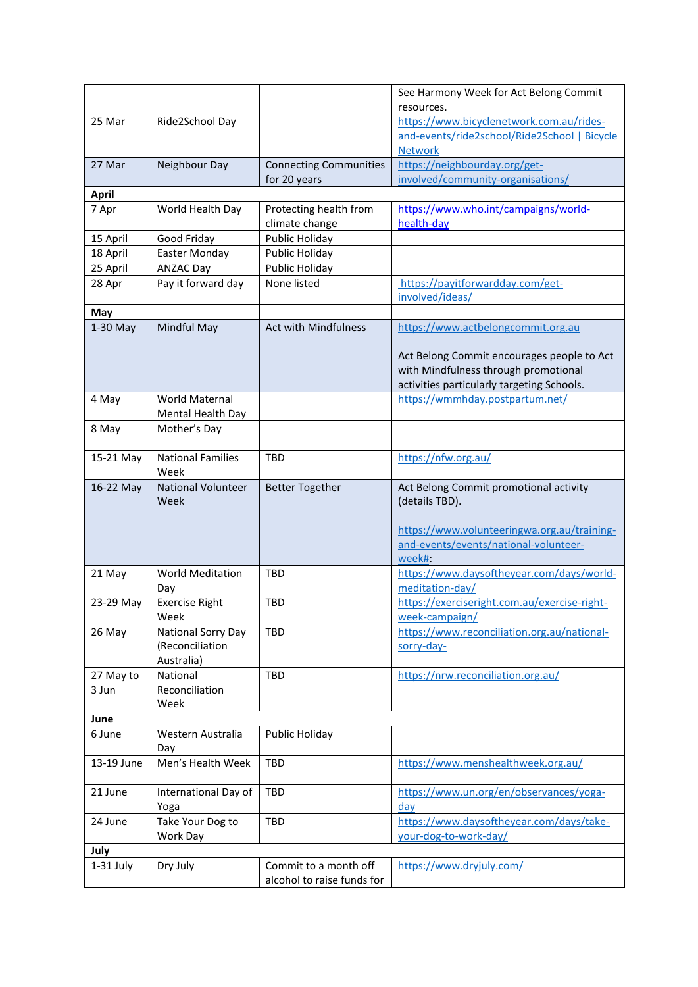|              |                           |                               | See Harmony Week for Act Belong Commit          |
|--------------|---------------------------|-------------------------------|-------------------------------------------------|
|              |                           |                               | resources.                                      |
| 25 Mar       | Ride2School Day           |                               | https://www.bicyclenetwork.com.au/rides-        |
|              |                           |                               | and-events/ride2school/Ride2School   Bicycle    |
| 27 Mar       | Neighbour Day             | <b>Connecting Communities</b> | <b>Network</b><br>https://neighbourday.org/get- |
|              |                           | for 20 years                  | involved/community-organisations/               |
| <b>April</b> |                           |                               |                                                 |
| 7 Apr        | World Health Day          | Protecting health from        | https://www.who.int/campaigns/world-            |
|              |                           | climate change                | health-day                                      |
| 15 April     | Good Friday               | Public Holiday                |                                                 |
| 18 April     | <b>Easter Monday</b>      | Public Holiday                |                                                 |
| 25 April     | <b>ANZAC Day</b>          | Public Holiday                |                                                 |
| 28 Apr       | Pay it forward day        | None listed                   | https://payitforwardday.com/get-                |
|              |                           |                               | involved/ideas/                                 |
| May          |                           |                               |                                                 |
| $1-30$ May   | Mindful May               | <b>Act with Mindfulness</b>   | https://www.actbelongcommit.org.au              |
|              |                           |                               |                                                 |
|              |                           |                               | Act Belong Commit encourages people to Act      |
|              |                           |                               | with Mindfulness through promotional            |
|              |                           |                               | activities particularly targeting Schools.      |
| 4 May        | World Maternal            |                               | https://wmmhday.postpartum.net/                 |
|              | Mental Health Day         |                               |                                                 |
| 8 May        | Mother's Day              |                               |                                                 |
|              |                           |                               |                                                 |
| 15-21 May    | <b>National Families</b>  | TBD                           | https://nfw.org.au/                             |
|              | Week                      |                               |                                                 |
| 16-22 May    | <b>National Volunteer</b> | <b>Better Together</b>        | Act Belong Commit promotional activity          |
|              | Week                      |                               | (details TBD).                                  |
|              |                           |                               |                                                 |
|              |                           |                               | https://www.volunteeringwa.org.au/training-     |
|              |                           |                               | and-events/events/national-volunteer-           |
|              |                           |                               | week#:                                          |
| 21 May       | <b>World Meditation</b>   | <b>TBD</b>                    | https://www.daysoftheyear.com/days/world-       |
|              | Day                       |                               | meditation-day/                                 |
| 23-29 May    | <b>Exercise Right</b>     | TBD                           | https://exerciseright.com.au/exercise-right-    |
|              | Week                      |                               | week-campaign/                                  |
| 26 May       | National Sorry Day        | <b>TBD</b>                    | https://www.reconciliation.org.au/national-     |
|              | (Reconciliation           |                               | sorry-day-                                      |
|              | Australia)                |                               |                                                 |
| 27 May to    | National                  | TBD                           | https://nrw.reconciliation.org.au/              |
| 3 Jun        | Reconciliation            |                               |                                                 |
|              | Week                      |                               |                                                 |
| June         |                           |                               |                                                 |
| 6 June       | Western Australia         | Public Holiday                |                                                 |
|              | Day                       |                               |                                                 |
| 13-19 June   | Men's Health Week         | <b>TBD</b>                    | https://www.menshealthweek.org.au/              |
|              |                           |                               |                                                 |
| 21 June      | International Day of      | <b>TBD</b>                    | https://www.un.org/en/observances/yoga-         |
|              | Yoga                      |                               | <u>day</u>                                      |
| 24 June      | Take Your Dog to          | TBD                           | https://www.daysoftheyear.com/days/take-        |
|              | Work Day                  |                               | your-dog-to-work-day/                           |
| July         |                           |                               |                                                 |
| 1-31 July    | Dry July                  | Commit to a month off         | https://www.dryjuly.com/                        |
|              |                           | alcohol to raise funds for    |                                                 |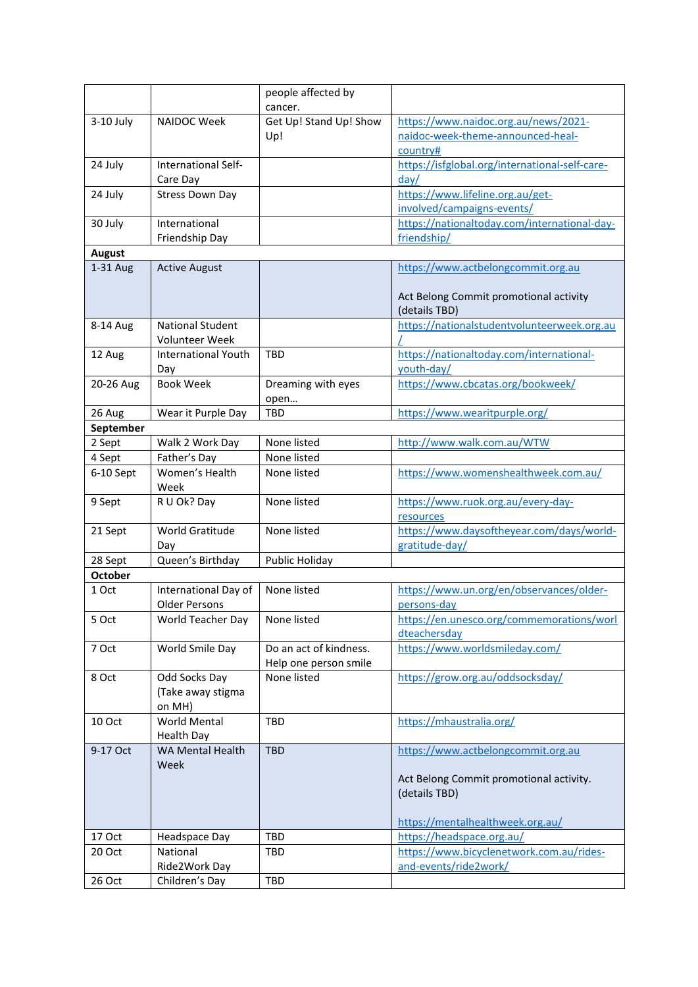|                |                                 | people affected by     |                                                        |
|----------------|---------------------------------|------------------------|--------------------------------------------------------|
|                |                                 | cancer.                |                                                        |
| $3-10$ July    | NAIDOC Week                     | Get Up! Stand Up! Show | https://www.naidoc.org.au/news/2021-                   |
|                |                                 | Up!                    | naidoc-week-theme-announced-heal-                      |
|                |                                 |                        | country#                                               |
|                |                                 |                        |                                                        |
| 24 July        | International Self-<br>Care Day |                        | https://isfglobal.org/international-self-care-<br>day/ |
| 24 July        | <b>Stress Down Day</b>          |                        | https://www.lifeline.org.au/get-                       |
|                |                                 |                        | involved/campaigns-events/                             |
| 30 July        | International                   |                        | https://nationaltoday.com/international-day-           |
|                | Friendship Day                  |                        | friendship/                                            |
| <b>August</b>  |                                 |                        |                                                        |
| 1-31 Aug       | <b>Active August</b>            |                        | https://www.actbelongcommit.org.au                     |
|                |                                 |                        |                                                        |
|                |                                 |                        | Act Belong Commit promotional activity                 |
|                |                                 |                        |                                                        |
|                |                                 |                        | (details TBD)                                          |
| 8-14 Aug       | <b>National Student</b>         |                        | https://nationalstudentvolunteerweek.org.au            |
|                | <b>Volunteer Week</b>           |                        |                                                        |
| 12 Aug         | <b>International Youth</b>      | <b>TBD</b>             | https://nationaltoday.com/international-               |
|                | Day                             |                        | youth-day/                                             |
| 20-26 Aug      | <b>Book Week</b>                | Dreaming with eyes     | https://www.cbcatas.org/bookweek/                      |
|                |                                 | open                   |                                                        |
| 26 Aug         | Wear it Purple Day              | <b>TBD</b>             | https://www.wearitpurple.org/                          |
| September      |                                 |                        |                                                        |
| 2 Sept         | Walk 2 Work Day                 | None listed            | http://www.walk.com.au/WTW                             |
| 4 Sept         | Father's Day                    | None listed            |                                                        |
| 6-10 Sept      | Women's Health                  | None listed            | https://www.womenshealthweek.com.au/                   |
|                | Week                            |                        |                                                        |
| 9 Sept         | R U Ok? Day                     | None listed            | https://www.ruok.org.au/every-day-                     |
|                |                                 |                        |                                                        |
|                | World Gratitude                 | None listed            | resources                                              |
| 21 Sept        |                                 |                        | https://www.daysoftheyear.com/days/world-              |
|                | Day                             |                        | gratitude-day/                                         |
| 28 Sept        | Queen's Birthday                | Public Holiday         |                                                        |
| <b>October</b> |                                 |                        |                                                        |
| 1 Oct          | International Day of            | None listed            | https://www.un.org/en/observances/older-               |
|                | <b>Older Persons</b>            |                        | persons-day                                            |
| 5 Oct          | World Teacher Day               | None listed            | https://en.unesco.org/commemorations/worl              |
|                |                                 |                        | dteachersday                                           |
| 7 Oct          | World Smile Day                 | Do an act of kindness. | https://www.worldsmileday.com/                         |
|                |                                 | Help one person smile  |                                                        |
| 8 Oct          | Odd Socks Day                   | None listed            | https://grow.org.au/oddsocksday/                       |
|                | (Take away stigma               |                        |                                                        |
|                | on MH)                          |                        |                                                        |
| 10 Oct         | <b>World Mental</b>             | TBD                    | https://mhaustralia.org/                               |
|                | <b>Health Day</b>               |                        |                                                        |
| 9-17 Oct       | <b>WA Mental Health</b>         | <b>TBD</b>             | https://www.actbelongcommit.org.au                     |
|                | Week                            |                        |                                                        |
|                |                                 |                        |                                                        |
|                |                                 |                        | Act Belong Commit promotional activity.                |
|                |                                 |                        | (details TBD)                                          |
|                |                                 |                        |                                                        |
|                |                                 |                        | https://mentalhealthweek.org.au/                       |
| 17 Oct         | Headspace Day                   | TBD                    | https://headspace.org.au/                              |
| 20 Oct         | National                        | TBD                    | https://www.bicyclenetwork.com.au/rides-               |
|                | Ride2Work Day                   |                        | and-events/ride2work/                                  |
| 26 Oct         | Children's Day                  | TBD                    |                                                        |